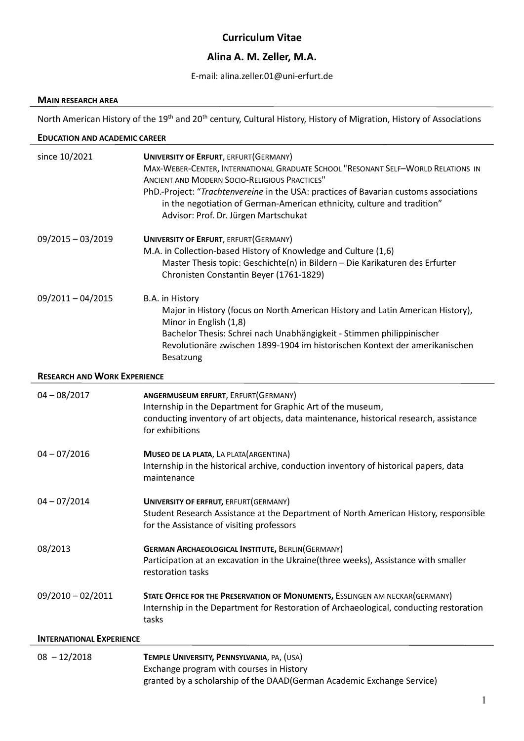## **Curriculum Vitae**

# **Alina A. M. Zeller, M.A.**

### E-mail: alina.zeller.01@uni-erfurt.de

#### **MAIN RESEARCH AREA**

North American History of the 19<sup>th</sup> and 20<sup>th</sup> century, Cultural History, History of Migration, History of Associations

#### **EDUCATION AND ACADEMIC CAREER**

| since 10/2021                       | <b>UNIVERSITY OF ERFURT, ERFURT (GERMANY)</b><br>MAX-WEBER-CENTER, INTERNATIONAL GRADUATE SCHOOL "RESONANT SELF-WORLD RELATIONS IN<br><b>ANCIENT AND MODERN SOCIO-RELIGIOUS PRACTICES"</b><br>PhD.-Project: "Trachtenvereine in the USA: practices of Bavarian customs associations<br>in the negotiation of German-American ethnicity, culture and tradition"<br>Advisor: Prof. Dr. Jürgen Martschukat |  |
|-------------------------------------|---------------------------------------------------------------------------------------------------------------------------------------------------------------------------------------------------------------------------------------------------------------------------------------------------------------------------------------------------------------------------------------------------------|--|
| 09/2015 - 03/2019                   | <b>UNIVERSITY OF ERFURT, ERFURT (GERMANY)</b><br>M.A. in Collection-based History of Knowledge and Culture (1,6)<br>Master Thesis topic: Geschichte(n) in Bildern - Die Karikaturen des Erfurter<br>Chronisten Constantin Beyer (1761-1829)                                                                                                                                                             |  |
| $09/2011 - 04/2015$                 | B.A. in History<br>Major in History (focus on North American History and Latin American History),<br>Minor in English (1,8)<br>Bachelor Thesis: Schrei nach Unabhängigkeit - Stimmen philippinischer<br>Revolutionäre zwischen 1899-1904 im historischen Kontext der amerikanischen<br>Besatzung                                                                                                        |  |
| <b>RESEARCH AND WORK EXPERIENCE</b> |                                                                                                                                                                                                                                                                                                                                                                                                         |  |
| $04 - 08/2017$                      | <b>ANGERMUSEUM ERFURT, ERFURT(GERMANY)</b><br>Internship in the Department for Graphic Art of the museum,<br>conducting inventory of art objects, data maintenance, historical research, assistance<br>for exhibitions                                                                                                                                                                                  |  |
| $04 - 07/2016$                      | MUSEO DE LA PLATA, LA PLATA (ARGENTINA)<br>Internship in the historical archive, conduction inventory of historical papers, data<br>maintenance                                                                                                                                                                                                                                                         |  |
| $04 - 07/2014$                      | UNIVERSITY OF ERFRUT, ERFURT (GERMANY)<br>Student Research Assistance at the Department of North American History, responsible<br>for the Assistance of visiting professors                                                                                                                                                                                                                             |  |
| 08/2013                             | <b>GERMAN ARCHAEOLOGICAL INSTITUTE, BERLIN(GERMANY)</b><br>Participation at an excavation in the Ukraine(three weeks), Assistance with smaller<br>restoration tasks                                                                                                                                                                                                                                     |  |
| $09/2010 - 02/2011$                 | STATE OFFICE FOR THE PRESERVATION OF MONUMENTS, ESSLINGEN AM NECKAR(GERMANY)<br>Internship in the Department for Restoration of Archaeological, conducting restoration<br>tasks                                                                                                                                                                                                                         |  |
| <b>INTERNATIONAL EXPERIENCE</b>     |                                                                                                                                                                                                                                                                                                                                                                                                         |  |
| $08 - 12/2018$                      | TEMPLE UNIVERSITY, PENNSYLVANIA, PA, (USA)<br>Exchange program with courses in History<br>granted by a scholarship of the DAAD(German Academic Exchange Service)                                                                                                                                                                                                                                        |  |